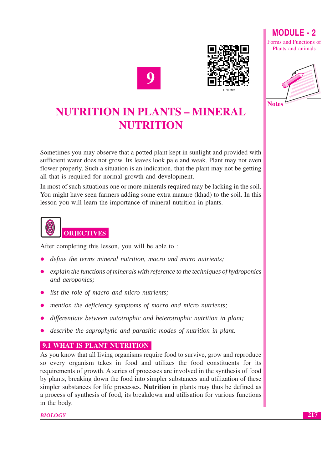



## **NUTRITION IN PLANTS - MINERAL NUTRITION**

Sometimes you may observe that a potted plant kept in sunlight and provided with sufficient water does not grow. Its leaves look pale and weak. Plant may not even flower properly. Such a situation is an indication, that the plant may not be getting all that is required for normal growth and development.

In most of such situations one or more minerals required may be lacking in the soil. You might have seen farmers adding some extra manure (khad) to the soil. In this lesson you will learn the importance of mineral nutrition in plants.



After completing this lesson, you will be able to:

- define the terms mineral nutrition, macro and micro nutrients;
- explain the functions of minerals with reference to the techniques of hydroponics and aeroponics:
- list the role of macro and micro nutrients;
- mention the deficiency symptoms of macro and micro nutrients;
- differentiate between autotrophic and heterotrophic nutrition in plant;
- describe the saprophytic and parasitic modes of nutrition in plant.

## **9.1 WHAT IS PLANT NUTRITION**

As you know that all living organisms require food to survive, grow and reproduce so every organism takes in food and utilizes the food constituents for its requirements of growth. A series of processes are involved in the synthesis of food by plants, breaking down the food into simpler substances and utilization of these simpler substances for life processes. Nutrition in plants may thus be defined as a process of synthesis of food, its breakdown and utilisation for various functions in the body.

**BIOLOGY** 

217

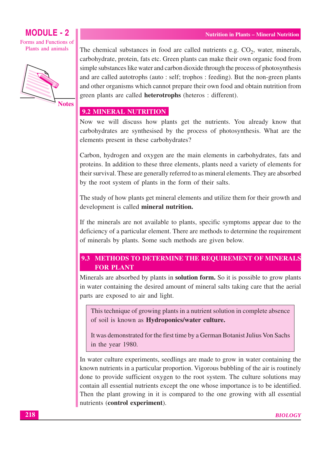#### **MODULE - 2** Forms and Functions of

Plants and animals



**Notes** 

The chemical substances in food are called nutrients e.g.  $CO<sub>2</sub>$ , water, minerals, carbohydrate, protein, fats etc. Green plants can make their own organic food from simple substances like water and carbon dioxide through the process of photosynthesis and are called autotrophs (auto: self; trophos: feeding). But the non-green plants and other organisms which cannot prepare their own food and obtain nutrition from green plants are called **heterotrophs** (heteros: different).

#### 9.2 MINERAL NUTRITION

Now we will discuss how plants get the nutrients. You already know that carbohydrates are synthesised by the process of photosynthesis. What are the elements present in these carbohydrates?

Carbon, hydrogen and oxygen are the main elements in carbohydrates, fats and proteins. In addition to these three elements, plants need a variety of elements for their survival. These are generally referred to as mineral elements. They are absorbed by the root system of plants in the form of their salts.

The study of how plants get mineral elements and utilize them for their growth and development is called mineral nutrition.

If the minerals are not available to plants, specific symptoms appear due to the deficiency of a particular element. There are methods to determine the requirement of minerals by plants. Some such methods are given below.

#### 9.3 METHODS TO DETERMINE THE REQUIREMENT OF MINERALS **FOR PLANT**

Minerals are absorbed by plants in **solution form.** So it is possible to grow plants in water containing the desired amount of mineral salts taking care that the aerial parts are exposed to air and light.

This technique of growing plants in a nutrient solution in complete absence of soil is known as **Hydroponics/water culture.** 

It was demonstrated for the first time by a German Botanist Julius Von Sachs in the year 1980.

In water culture experiments, seedlings are made to grow in water containing the known nutrients in a particular proportion. Vigorous bubbling of the air is routinely done to provide sufficient oxygen to the root system. The culture solutions may contain all essential nutrients except the one whose importance is to be identified. Then the plant growing in it is compared to the one growing with all essential nutrients (control experiment).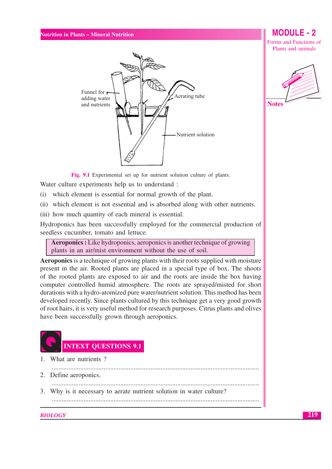

**MODULE - 2** Forms and Functions of

Plants and animals



Fig. 9.1 Experimental set up for nutrient solution culture of plants.

Water culture experiments help us to understand:

- (i) which element is essential for normal growth of the plant.
- (ii) which element is not essential and is absorbed along with other nutrients.
- (iii) how much quantity of each mineral is essential.

Hydroponics has been successfully employed for the commercial production of seedless cucumber, tomato and lettuce.

**Aeroponics :** Like hydroponics, aeroponics is another technique of growing plants in an air/mist environment without the use of soil.

**Aeroponics** is a technique of growing plants with their roots supplied with moisture present in the air. Rooted plants are placed in a special type of box. The shoots of the rooted plants are exposed to air and the roots are inside the box having computer controlled humid atmosphere. The roots are sprayed/misted for short durations with a hydro-atomized pure water/nutrient solution. This method has been developed recently. Since plants cultured by this technique get a very good growth of root hairs, it is very useful method for research purposes. Citrus plants and olives have been successfully grown through aeroponics.



What are nutrients?  $1$ 

- 2. Define aeroponics.
- 3. Why is it necessary to aerate nutrient solution in water culture?

#### **BIOLOGY**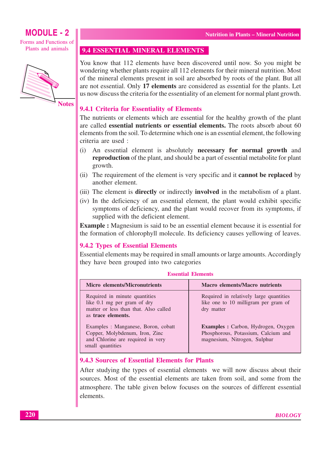## **MODULE - 2**

Forms and Functions of Plants and animals



**Notes** 

#### 9.4 ESSENTIAL MINERAL ELEMENTS

You know that 112 elements have been discovered until now. So you might be wondering whether plants require all 112 elements for their mineral nutrition. Most of the mineral elements present in soil are absorbed by roots of the plant. But all are not essential. Only 17 elements are considered as essential for the plants. Let us now discuss the criteria for the essentiality of an element for normal plant growth.

#### 9.4.1 Criteria for Essentiality of Elements

The nutrients or elements which are essential for the healthy growth of the plant are called essential nutrients or essential elements. The roots absorb about 60 elements from the soil. To determine which one is an essential element, the following criteria are used :

- $(i)$ An essential element is absolutely necessary for normal growth and reproduction of the plant, and should be a part of essential metabolite for plant growth.
- (ii) The requirement of the element is very specific and it **cannot be replaced** by another element.
- (iii) The element is **directly** or indirectly **involved** in the metabolism of a plant.
- (iv) In the deficiency of an essential element, the plant would exhibit specific symptoms of deficiency, and the plant would recover from its symptoms, if supplied with the deficient element.

**Example :** Magnesium is said to be an essential element because it is essential for the formation of chlorophyll molecule. Its deficiency causes yellowing of leaves.

#### **9.4.2 Types of Essential Elements**

Essential elements may be required in small amounts or large amounts. Accordingly they have been grouped into two categories

| <b>Micro</b> elements/Micronutrients                                                                                           | <b>Macro</b> elements/Macro nutrients                                                                             |
|--------------------------------------------------------------------------------------------------------------------------------|-------------------------------------------------------------------------------------------------------------------|
| Required in minute quantities<br>like 0.1 mg per gram of dry<br>matter or less than that. Also called<br>as trace elements.    | Required in relatively large quantities<br>like one to 10 milligram per gram of<br>dry matter                     |
| Examples : Manganese, Boron, cobatt<br>Copper, Molybdenum, Iron, Zinc<br>and Chlorine are required in very<br>small quantities | <b>Examples :</b> Carbon, Hydrogen, Oxygen<br>Phosphorous, Potassium, Calcium and<br>magnesium, Nitrogen, Sulphur |

#### **Essential Elements**

#### 9.4.3 Sources of Essential Elements for Plants

After studying the types of essential elements we will now discuss about their sources. Most of the essential elements are taken from soil, and some from the atmosphere. The table given below focuses on the sources of different essential elements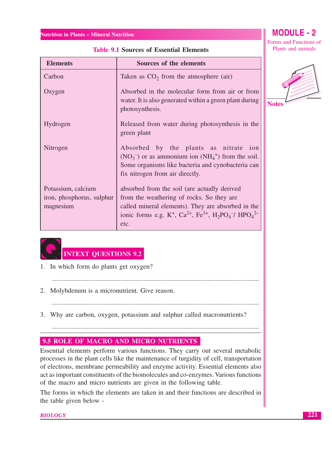#### **Elements** Sources of the elements Carbon Taken as  $CO<sub>2</sub>$  from the atmosphere (air) Oxygen Absorbed in the molecular form from air or from water. It is also generated within a green plant during **Notes** photosynthesis. Hydrogen Released from water during photosynthesis in the green plant Nitrogen Absorbed by the plants as nitrate ion  $(NO_3^-)$  or as ammonium ion  $(NH_4^+)$  from the soil. Some organisms like bacteria and cynobacteria can fix nitrogen from air directly. Potassium, calcium absorbed from the soil (are actually derived iron, phosphorus, sulphur from the weathering of rocks. So they are called mineral elements). They are absorbed in the magnesium ionic forms e.g. K<sup>+</sup>, Ca<sup>2+</sup>, Fe<sup>3+</sup>, H<sub>2</sub>PO<sub>4</sub><sup>-/</sup> HPO<sub>4</sub><sup>2-</sup> etc.

**Table 9.1 Sources of Essential Elements** 



**INTEXT QUESTIONS 9.2** 

1. In which form do plants get oxygen?

2. Molybdenum is a micronutrient. Give reason.

3. Why are carbon, oxygen, potassium and sulphur called macronutrients?

#### 9.5 ROLE OF MACRO AND MICRO NUTRIENTS

Essential elements perform various functions. They carry out several metabolic processes in the plant cells like the maintenance of turgidity of cell, transportation of electrons, membrane permeability and enzyme activity. Essential elements also act as important constituents of the biomolecules and co-enzymes. Various functions of the macro and micro nutrients are given in the following table.

The forms in which the elements are taken in and their functions are described in the table given below -

**BIOLOGY** 

## **MODULE - 2**

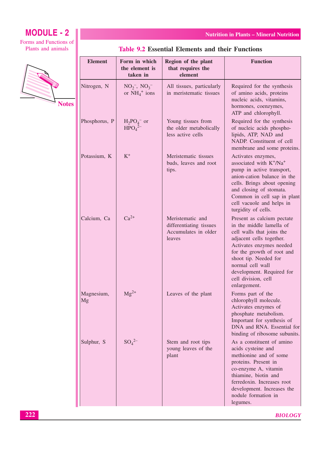## **MODULE - 2**

Forms and Functions of Plants and animals



**Nutrition in Plants - Mineral Nutrition** 

| <b>Table 9.2 Essential Elements and their Functions</b> |
|---------------------------------------------------------|
|---------------------------------------------------------|

| <b>Element</b>   | Form in which<br>the element is<br>taken in      | Region of the plant<br>that requires the<br>element                           | <b>Function</b>                                                                                                                                                                                                                                                                            |
|------------------|--------------------------------------------------|-------------------------------------------------------------------------------|--------------------------------------------------------------------------------------------------------------------------------------------------------------------------------------------------------------------------------------------------------------------------------------------|
| Nitrogen, N      | $NO_2^-$ , $NO_3^-$<br>or $NH_4^+$ ions          | All tissues, particularly<br>in meristematic tissues                          | Required for the synthesis<br>of amino acids, proteins<br>nucleic acids, vitamins,<br>hormones, coenzymes,<br>ATP and chlorophyll.                                                                                                                                                         |
| Phosphorus, P    | $H_2PO_4^-$ or<br>HPO <sub>4</sub> <sup>2–</sup> | Young tissues from<br>the older metabolically<br>less active cells            | Required for the synthesis<br>of nucleic acids phospho-<br>lipids, ATP, NAD and<br>NADP. Constituent of cell<br>membrane and some proteins.                                                                                                                                                |
| Potassium, K     | $K^+$                                            | Meristematic tissues<br>buds, leaves and root<br>tips.                        | Activates enzymes,<br>associated with K+/Na+<br>pump in active transport,<br>anion-cation balance in the<br>cells. Brings about opening<br>and closing of stomata.<br>Common in cell sap in plant<br>cell vacuole and helps in<br>turgidity of cells.                                      |
| Calcium, Ca      | $Ca^{2+}$                                        | Meristematic and<br>differentiating tissues<br>Accumulates in older<br>leaves | Present as calcium pectate<br>in the middle lamella of<br>cell walls that joins the<br>adjacent cells together.<br>Activates enzymes needed<br>for the growth of root and<br>shoot tip. Needed for<br>normal cell wall<br>development. Required for<br>cell division, cell<br>enlargement. |
| Magnesium,<br>Mg | $Mg^{2+}$                                        | Leaves of the plant                                                           | Forms part of the<br>chlorophyll molecule.<br>Activates enzymes of<br>phosphate metabolism.<br>Important for synthesis of<br>DNA and RNA. Essential for<br>binding of ribosome subunits.                                                                                                   |
| Sulphur, S       | $SO_4^{2-}$                                      | Stem and root tips<br>young leaves of the<br>plant                            | As a constituent of amino<br>acids cysteine and<br>methionine and of some<br>proteins. Present in<br>co-enzyme A, vitamin<br>thiamine, biotin and<br>ferredoxin. Increases root<br>development. Increases the<br>nodule formation in<br>legumes.                                           |

**BIOLOGY**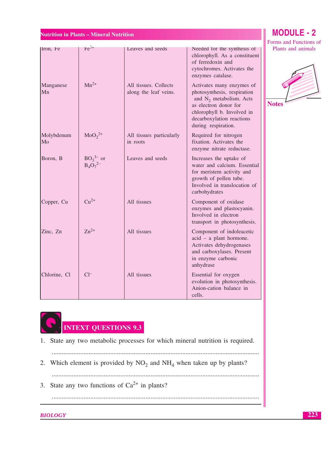## **MODULE - 2**

|                       |                                 |                                           |                                                                                                                                                                      | Forms and Functions of |
|-----------------------|---------------------------------|-------------------------------------------|----------------------------------------------------------------------------------------------------------------------------------------------------------------------|------------------------|
| Iron, Fe<br>Manganese | $Fe3+$<br>$Mn^{2+}$             | Leaves and seeds<br>All tissues. Collects | Needed for the synthesis of<br>chlorophyll. As a constituent<br>of ferredoxin and<br>cytochromes. Activates the<br>enzymes catalase.<br>Activates many enzymes of    | Plants and animals     |
| Mn                    |                                 | along the leaf veins.                     | photosynthesis, respiration<br>and $N_2$ metabolism. Acts<br>as electron donor for<br>chlorophyll b. Involved in<br>decarboxylation reactions<br>during respiration. | <b>Notes</b>           |
| Molybdenum<br>Mo      | $MoO22+$                        | All tissues particularly<br>in roots      | Required for nitrogen<br>fixation. Activates the<br>enzyme nitrate reductase.                                                                                        |                        |
| Boron, B              | $BO_3^{3-}$ or<br>$B_4O_7^{2-}$ | Leaves and seeds                          | Increases the uptake of<br>water and calcium. Essential<br>for meristem activity and<br>growth of pollen tube.<br>Involved in translocation of<br>carbohydrates      |                        |
| Copper, Cu            | $Cu2+$                          | All tissues                               | Component of oxidase<br>enzymes and plastocyanin.<br>Involved in electron<br>transport in photosynthesis.                                                            |                        |
| Zinc, Zn              | $Zn^{2+}$                       | All tissues                               | Component of indoleacetic<br>acid - a plant hormone.<br>Activates dehydrogenases<br>and carboxylases. Present<br>in enzyme carbonic<br>anhydrase                     |                        |
| Chlorine, Cl          | $Cl^{-}$                        | All tissues                               | Essential for oxygen<br>evolution in photosynthesis.<br>Anion-cation balance in<br>cells.                                                                            |                        |



- 1. State any two metabolic processes for which mineral nutrition is required.
- 
- 2. Which element is provided by  $NO<sub>2</sub>$  and  $NH<sub>4</sub>$  when taken up by plants?
	-

3. State any two functions of  $Ca^{2+}$  in plants?

**BIOLOGY** 

223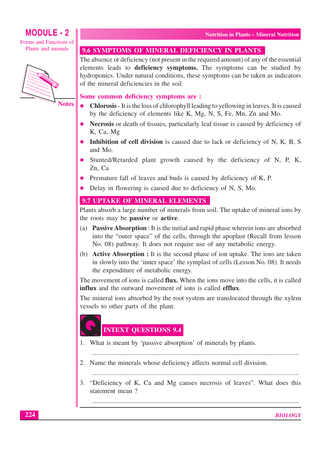## **MODULE - 2**

Forms and Functions of Plants and animals



**Notes** 

#### 9.6 SYMPTOMS OF MINERAL DEFICIENCY IN PLANTS

The absence or deficiency (not present in the required amount) of any of the essential elements leads to deficiency symptoms. The symptoms can be studied by hydroponics. Under natural conditions, these symptoms can be taken as indicators of the mineral deficiencies in the soil.

#### Some common deficiency symptoms are :

- Chlorosis It is the loss of chlorophyll leading to yellowing in leaves. It is caused by the deficiency of elements like K, Mg, N, S, Fe, Mn, Zn and Mo.
- Necrosis or death of tissues, particularly leaf tissue is caused by deficiency of K, Ca, Mg
- Inhibition of cell division is caused due to lack or deficiency of N, K, B, S and Mo.
- Stunted/Retarded plant growth caused by the deficiency of N, P, K, Zn. Ca
- Premature fall of leaves and buds is caused by deficiency of K, P.
- Delay in flowering is caused due to deficiency of N, S, Mo.

#### 9.7 UPTAKE OF MINERAL ELEMENTS

Plants absorb a large number of minerals from soil. The uptake of mineral ions by the roots may be **passive** or **active**.

- (a) Passive Absorption : It is the initial and rapid phase wherein ions are absorbed into the "outer space" of the cells, through the apoplast (Recall from lesson No. 08) pathway. It does not require use of any metabolic energy.
- (b) **Active Absorption :** It is the second phase of ion uptake. The ions are taken in slowly into the 'inner space' the symplast of cells (Lesson No. 08). It needs the expenditure of metabolic energy.

The movement of ions is called **flux.** When the ions move into the cells, it is called influx and the outward movement of ions is called **efflux** 

The mineral ions absorbed by the root system are translocated through the xylem vessels to other parts of the plant.

## **INTEXT QUESTIONS 9.4**

1. What is meant by 'passive absorption' of minerals by plants.

2. Name the minerals whose deficiency affects normal cell division.

3. "Deficiency of K, Ca and Mg causes necrosis of leaves". What does this statement mean?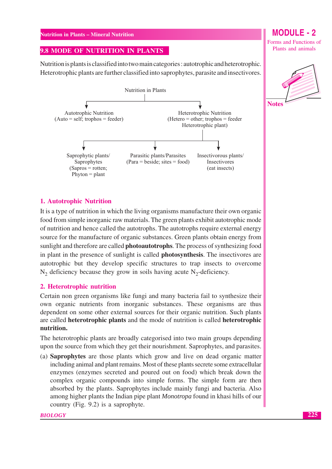#### 9.8 MODE OF NUTRITION IN PLANTS

Nutrition is plants is classified into two main categories : autotrophic and heterotrophic. Heterotrophic plants are further classified into saprophytes, parasite and insectivores.



#### **1. Autotrophic Nutrition**

It is a type of nutrition in which the living organisms manufacture their own organic food from simple inorganic raw materials. The green plants exhibit autotrophic mode of nutrition and hence called the autotrophs. The autotrophs require external energy source for the manufacture of organic substances. Green plants obtain energy from sunlight and therefore are called **photoautotrophs**. The process of synthesizing food in plant in the presence of sunlight is called **photosynthesis**. The insectivores are autotrophic but they develop specific structures to trap insects to overcome  $N_2$  deficiency because they grow in soils having acute  $N_2$ -deficiency.

#### 2. Heterotrophic nutrition

Certain non green organisms like fungi and many bacteria fail to synthesize their own organic nutrients from inorganic substances. These organisms are thus dependent on some other external sources for their organic nutrition. Such plants are called **heterotrophic plants** and the mode of nutrition is called **heterotrophic** nutrition.

The heterotrophic plants are broadly categorised into two main groups depending upon the source from which they get their nourishment. Saprophytes, and parasites.

(a) **Saprophytes** are those plants which grow and live on dead organic matter including animal and plant remains. Most of these plants secrete some extracellular enzymes (enzymes secreted and poured out on food) which break down the complex organic compounds into simple forms. The simple form are then absorbed by the plants. Saprophytes include mainly fungi and bacteria. Also among higher plants the Indian pipe plant *Monotropa* found in khasi hills of our country (Fig. 9.2) is a saprophyte.

## **MODULE - 2**

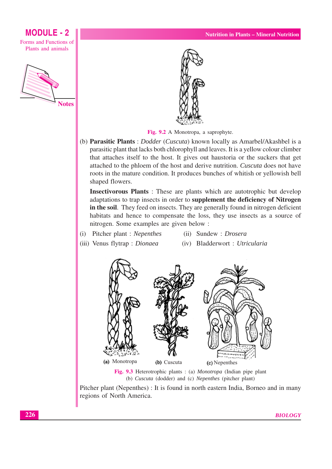#### Fig. 9.2 A Monotropa, a saprophyte.

(b) Parasitic Plants : Dodder (Cuscuta) known locally as Amarbel/Akashbel is a parasitic plant that lacks both chlorophyll and leaves. It is a vellow colour climber that attaches itself to the host. It gives out haustoria or the suckers that get attached to the phloem of the host and derive nutrition. Cuscuta does not have roots in the mature condition. It produces bunches of whitish or yellowish bell shaped flowers.

Insectivorous Plants: These are plants which are autotrophic but develop adaptations to trap insects in order to supplement the deficiency of Nitrogen in the soil. They feed on insects. They are generally found in nitrogen deficient habitats and hence to compensate the loss, they use insects as a source of nitrogen. Some examples are given below :

- (i) Pitcher plant : Nepenthes
- (iv) Bladderwort: Utricularia

(ii) Sundew: *Drosera* 

- (iii) Venus flytrap : Dionaea
	-

#### Fig. 9.3 Heterotrophic plants: (a) Monotropa (Indian pipe plant (b) Cuscuta (dodder) and (c) Nepenthes (pitcher plant)

Pitcher plant (Nepenthes) : It is found in north eastern India, Borneo and in many regions of North America.





**MODULE - 2** 

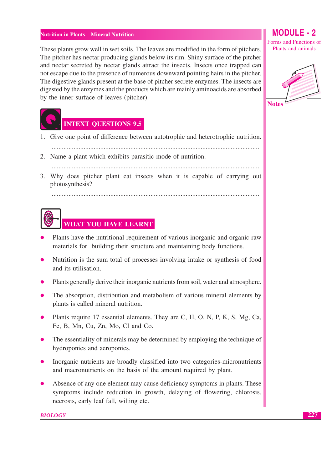These plants grow well in wet soils. The leaves are modified in the form of pitchers. The pitcher has nectar producing glands below its rim. Shiny surface of the pitcher and nectar secreted by nectar glands attract the insects. Insects once trapped can not escape due to the presence of numerous downward pointing hairs in the pitcher. The digestive glands present at the base of pitcher secrete enzymes. The insects are digested by the enzymes and the products which are mainly aminoacids are absorbed by the inner surface of leaves (pitcher).



- 1. Give one point of difference between autotrophic and heterotrophic nutrition.
- 2. Name a plant which exhibits parasitic mode of nutrition.

3. Why does pitcher plant eat insects when it is capable of carrying out photosynthesis?

# **WHAT YOU HAVE LEARNT**

- Plants have the nutritional requirement of various inorganic and organic raw materials for building their structure and maintaining body functions.
- Nutrition is the sum total of processes involving intake or synthesis of food and its utilisation.
- Plants generally derive their inorganic nutrients from soil, water and atmosphere.
- The absorption, distribution and metabolism of various mineral elements by plants is called mineral nutrition.
- Plants require 17 essential elements. They are C, H, O, N, P, K, S, Mg, Ca, Fe, B, Mn, Cu, Zn, Mo, Cl and Co.
- The essentiality of minerals may be determined by employing the technique of hydroponics and aeroponics.
- Inorganic nutrients are broadly classified into two categories-micronutrients and macronutrients on the basis of the amount required by plant.
- Absence of any one element may cause deficiency symptoms in plants. These symptoms include reduction in growth, delaying of flowering, chlorosis, necrosis, early leaf fall, wilting etc.

## **MODULE - 2**

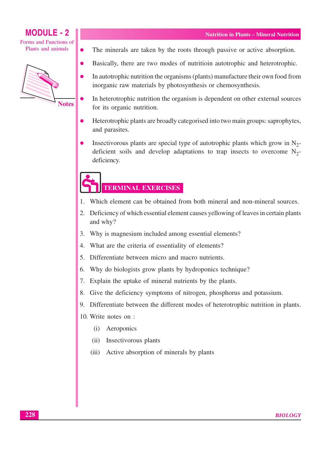Forms and Functions of Plants and animals

 $\bullet$ 

**MODULE - 2** 



The minerals are taken by the roots through passive or active absorption.

- Basically, there are two modes of nutritioin autotrophic and heterotrophic.
- In autotrophic nutrition the organisms (plants) manufacture their own food from inorganic raw materials by photosynthesis or chemosynthesis.
- In heterotrophic nutrition the organism is dependent on other external sources for its organic nutrition.
- Heterotrophic plants are broadly categorised into two main groups: saprophytes, and parasites.
- Insectivorous plants are special type of autotrophic plants which grow in  $N_2$ deficient soils and develop adaptations to trap insects to overcome  $N_2$ deficiency.

# **TERMINAL EXERCISES**

- Which element can be obtained from both mineral and non-mineral sources.  $\mathbf{1}$ .
- 2. Deficiency of which essential element causes yellowing of leaves in certain plants and why?
- 3. Why is magnesium included among essential elements?
- 4. What are the criteria of essentiality of elements?
- 5. Differentiate between micro and macro nutrients.
- 6. Why do biologists grow plants by hydroponics technique?
- 7. Explain the uptake of mineral nutrients by the plants.
- 8. Give the deficiency symptoms of nitrogen, phosphorus and potassium.
- 9. Differentiate between the different modes of heterotrophic nutrition in plants.
- 10. Write notes on:
	- Aeroponics  $(i)$
	- Insectivorous plants  $(ii)$
	- Active absorption of minerals by plants  $(iii)$